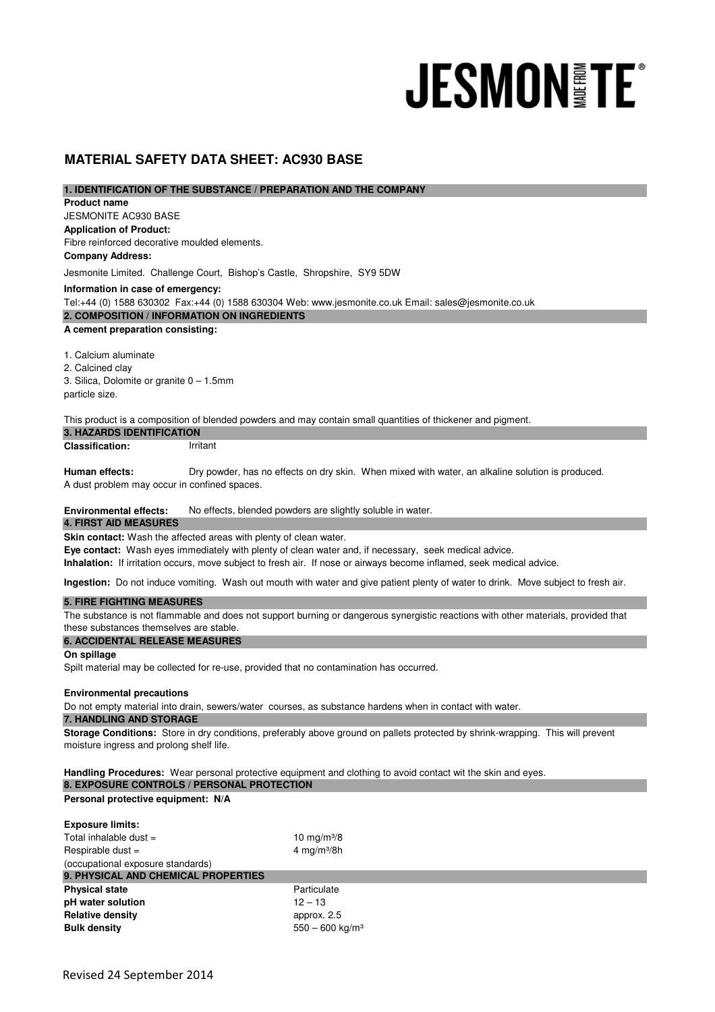# **JESMON FE**

# **MATERIAL SAFETY DATA SHEET: AC930 BASE**

### **1. IDENTIFICATION OF THE SUBSTANCE / PREPARATION AND THE COMPANY**

JESMONITE AC930 BASE **Application of Product:**  Fibre reinforced decorative moulded elements. **A cement preparation consisting:** 1. Calcium aluminate 2. Calcined clay 3. Silica, Dolomite or granite 0 – 1.5mm **Information in case of emergency: 2. COMPOSITION / INFORMATION ON INGREDIENTS Product name Company Address:** Jesmonite Limited. Challenge Court, Bishop's Castle, Shropshire, SY9 5DW Tel:+44 (0) 1588 630302 Fax:+44 (0) 1588 630304 Web: www.jesmonite.co.uk Email: sales@jesmonite.co.uk

particle size.

This product is a composition of blended powders and may contain small quantities of thickener and pigment.

**Classification:** Irritant **3. HAZARDS IDENTIFICATION** 

**Human effects:**  A dust problem may occur in confined spaces. Dry powder, has no effects on dry skin. When mixed with water, an alkaline solution is produced.

**Environmental effects:** No effects, blended powders are slightly soluble in water.

#### **4. FIRST AID MEASURES**

**Skin contact:** Wash the affected areas with plenty of clean water.

**Eye contact:** Wash eyes immediately with plenty of clean water and, if necessary, seek medical advice.

**Inhalation:** If irritation occurs, move subject to fresh air. If nose or airways become inflamed, seek medical advice.

**Ingestion:** Do not induce vomiting. Wash out mouth with water and give patient plenty of water to drink. Move subject to fresh air.

# **5. FIRE FIGHTING MEASURES**

The substance is not flammable and does not support burning or dangerous synergistic reactions with other materials, provided that these substances themselves are stable.

# **6. ACCIDENTAL RELEASE MEASURES**

**On spillage**

Spilt material may be collected for re-use, provided that no contamination has occurred.

#### **Environmental precautions**

Do not empty material into drain, sewers/water courses, as substance hardens when in contact with water.

### **7. HANDLING AND STORAGE**

**Storage Conditions:** Store in dry conditions, preferably above ground on pallets protected by shrink-wrapping. This will prevent moisture ingress and prolong shelf life.

**Handling Procedures:** Wear personal protective equipment and clothing to avoid contact wit the skin and eyes. **8. EXPOSURE CONTROLS / PERSONAL PROTECTION** 

#### **Personal protective equipment: N/A**

| <b>Exposure limits:</b>             |                               |
|-------------------------------------|-------------------------------|
| Total inhalable dust $=$            | 10 $mg/m^{3}/8$               |
| Respirable dust $=$                 | 4 mg/m $3/8h$                 |
| (occupational exposure standards)   |                               |
| 9. PHYSICAL AND CHEMICAL PROPERTIES |                               |
| <b>Physical state</b>               | Particulate                   |
| pH water solution                   | $12 - 13$                     |
| <b>Relative density</b>             | approx. 2.5                   |
| <b>Bulk density</b>                 | $550 - 600$ kg/m <sup>3</sup> |